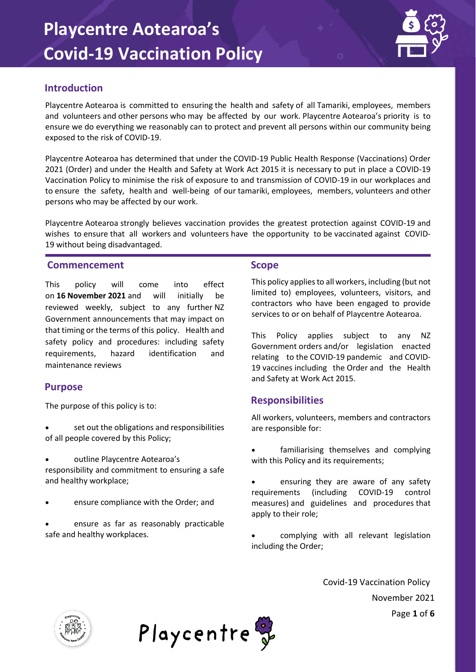

### **Introduction**

Playcentre Aotearoa is committed to ensuring the health and safety of all Tamariki, employees, members and volunteers and other persons who may be affected by our work. Playcentre Aotearoa's priority is to ensure we do everything we reasonably can to protect and prevent all persons within our community being exposed to the risk of COVID-19.

Playcentre Aotearoa has determined that under the COVID-19 Public Health Response (Vaccinations) Order 2021 (Order) and under the Health and Safety at Work Act 2015 it is necessary to put in place a COVID-19 Vaccination Policy to minimise the risk of exposure to and transmission of COVID-19 in our workplaces and to ensure the safety, health and well-being of our tamariki, employees, members, volunteers and other persons who may be affected by our work.

Playcentre Aotearoa strongly believes vaccination provides the greatest protection against COVID-19 and wishes to ensure that all workers and volunteers have the opportunity to be vaccinated against COVID-19 without being disadvantaged.

#### **Commencement**

This policy will come into effect on **16 November 2021** and will initially be reviewed weekly, subject to any further NZ Government announcements that may impact on that timing or the terms of this policy. Health and safety policy and procedures: including safety requirements, hazard identification and maintenance reviews

#### **Purpose**

The purpose of this policy is to:

- set out the obligations and responsibilities of all people covered by this Policy;
- outline Playcentre Aotearoa's responsibility and commitment to ensuring a safe and healthy workplace;
- ensure compliance with the Order; and
- ensure as far as reasonably practicable safe and healthy workplaces.

#### **Scope**

This policy applies to all workers, including (but not limited to) employees, volunteers, visitors, and contractors who have been engaged to provide services to or on behalf of Playcentre Aotearoa.

This Policy applies subject to any NZ Government orders and/or legislation enacted relating to the COVID-19 pandemic and COVID-19 vaccines including the Order and the Health and Safety at Work Act 2015.

#### **Responsibilities**

All workers, volunteers, members and contractors are responsible for:

- familiarising themselves and complying with this Policy and its requirements;
- ensuring they are aware of any safety requirements (including COVID-19 control measures) and guidelines and procedures that apply to their role;
- complying with all relevant legislation including the Order;

Covid-19 Vaccination Policy November 2021 Page **1** of **6**



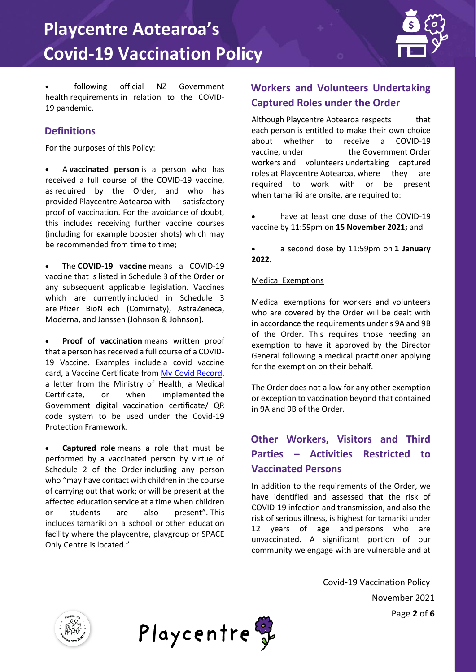

• following official NZ Government health requirements in relation to the COVID-19 pandemic.

## **Definitions**

For the purposes of this Policy:

• A **vaccinated person** is a person who has received a full course of the COVID-19 vaccine, as required by the Order, and who has provided Playcentre Aotearoa with satisfactory proof of vaccination. For the avoidance of doubt, this includes receiving further vaccine courses (including for example booster shots) which may be recommended from time to time;

• The **COVID-19 vaccine** means a COVID-19 vaccine that is listed in Schedule 3 of the Order or any subsequent applicable legislation. Vaccines which are currently included in Schedule 3 are Pfizer BioNTech (Comirnaty), AstraZeneca, Moderna, and Janssen (Johnson & Johnson).

Proof of vaccination means written proof that a person has received a full course of a COVID-19 Vaccine. Examples include a covid vaccine card, a Vaccine Certificate from [My Covid Record,](https://app.covid19.health.nz/) a letter from the Ministry of Health, a Medical Certificate, or when implemented the Government digital vaccination certificate/ QR code system to be used under the Covid-19 Protection Framework.

• **Captured role** means a role that must be performed by a vaccinated person by virtue of Schedule 2 of the Order including any person who "may have contact with children in the course of carrying out that work; or will be present at the affected education service at a time when children or students are also present". This includes tamariki on a school or other education facility where the playcentre, playgroup or SPACE Only Centre is located."

# **Workers and Volunteers Undertaking Captured Roles under the Order**

Although Playcentre Aotearoa respects that each person is entitled to make their own choice about whether to receive a COVID-19 vaccine, under the Government Order workers and volunteers undertaking captured roles at Playcentre Aotearoa, where they are required to work with or be present when tamariki are onsite, are required to:

- have at least one dose of the COVID-19 vaccine by 11:59pm on **15 November 2021;** and
- a second dose by 11:59pm on **1 January 2022**.

#### Medical Exemptions

Medical exemptions for workers and volunteers who are covered by the Order will be dealt with in accordance the requirements under s 9A and 9B of the Order. This requires those needing an exemption to have it approved by the Director General following a medical practitioner applying for the exemption on their behalf.

The Order does not allow for any other exemption or exception to vaccination beyond that contained in 9A and 9B of the Order.

# **Other Workers, Visitors and Third Parties – Activities Restricted to Vaccinated Persons**

In addition to the requirements of the Order, we have identified and assessed that the risk of COVID-19 infection and transmission, and also the risk of serious illness, is highest for tamariki under 12 years of age and persons who are unvaccinated. A significant portion of our community we engage with are vulnerable and at

> Covid-19 Vaccination Policy November 2021 Page **2** of **6**



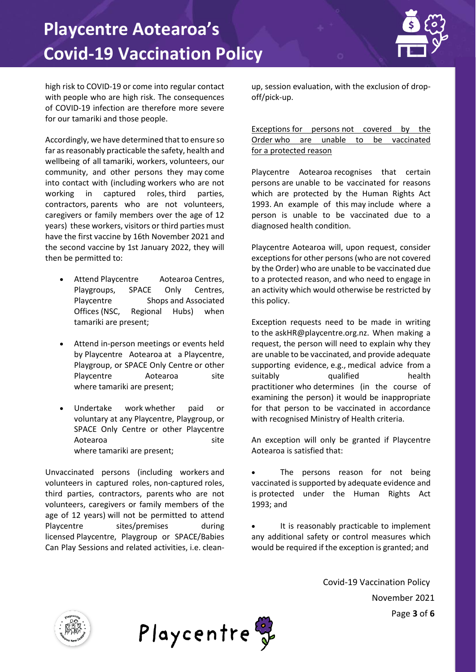

high risk to COVID-19 or come into regular contact with people who are high risk. The consequences of COVID-19 infection are therefore more severe for our tamariki and those people.  

Accordingly, we have determined that to ensure so far as reasonably practicable the safety, health and wellbeing of all tamariki, workers, volunteers, our community, and other persons they may come into contact with (including workers who are not working in captured roles, third parties, contractors, parents who are not volunteers, caregivers or family members over the age of 12 years) these workers, visitors or third parties must have the first vaccine by 16th November 2021 and the second vaccine by 1st January 2022, they will then be permitted to:  

- Attend Playcentre Aotearoa Centres, Playgroups, SPACE Only Centres, Playcentre Shops and Associated Offices (NSC, Regional Hubs) when tamariki are present;
- Attend in-person meetings or events held by Playcentre Aotearoa at a Playcentre, Playgroup, or SPACE Only Centre or other Playcentre Aotearoa site where tamariki are present;
- Undertake work whether paid or voluntary at any Playcentre, Playgroup, or SPACE Only Centre or other Playcentre Aotearoa site where tamariki are present;

Unvaccinated persons (including workers and volunteers in captured roles, non-captured roles, third parties, contractors, parents who are not volunteers, caregivers or family members of the age of 12 years) will not be permitted to attend Playcentre sites/premises during licensed Playcentre, Playgroup or SPACE/Babies Can Play Sessions and related activities, i.e. cleanup, session evaluation, with the exclusion of dropoff/pick-up.

Exceptions for persons not covered by the Order who are unable to be vaccinated for a protected reason

Playcentre Aotearoa recognises that certain persons are unable to be vaccinated for reasons which are protected by the Human Rights Act 1993. An example of this may include where a person is unable to be vaccinated due to a diagnosed health condition.

Playcentre Aotearoa will, upon request, consider exceptions for other persons (who are not covered by the Order) who are unable to be vaccinated due to a protected reason, and who need to engage in an activity which would otherwise be restricted by this policy.

Exception requests need to be made in writing to the askHR@playcentre.org.nz. When making a request, the person will need to explain why they are unable to be vaccinated, and provide adequate supporting evidence, e.g., medical advice from a suitably qualified health practitioner who determines (in the course of examining the person) it would be inappropriate for that person to be vaccinated in accordance with recognised Ministry of Health criteria.

An exception will only be granted if Playcentre Aotearoa is satisfied that:

The persons reason for not being vaccinated is supported by adequate evidence and is protected under the Human Rights Act 1993; and

It is reasonably practicable to implement any additional safety or control measures which would be required if the exception is granted; and

> Covid-19 Vaccination Policy November 2021 Page **3** of **6**



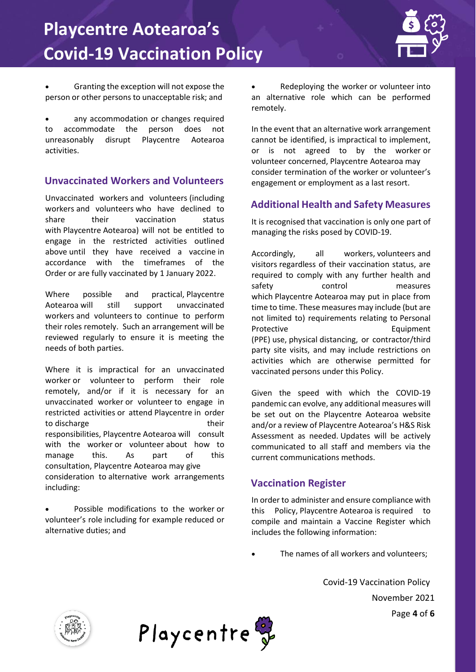

• Granting the exception will not expose the person or other persons to unacceptable risk; and

any accommodation or changes required to accommodate the person does not unreasonably disrupt Playcentre Aotearoa activities.

### **Unvaccinated Workers and Volunteers**

Unvaccinated workers and volunteers (including workers and volunteers who have declined to share their vaccination status with Playcentre Aotearoa) will not be entitled to engage in the restricted activities outlined above until they have received a vaccine in accordance with the timeframes of the Order or are fully vaccinated by 1 January 2022.

Where possible and practical, Playcentre Aotearoa will still support unvaccinated workers and volunteers to continue to perform their roles remotely. Such an arrangement will be reviewed regularly to ensure it is meeting the needs of both parties.

Where it is impractical for an unvaccinated worker or volunteer to perform their role remotely, and/or if it is necessary for an unvaccinated worker or volunteer to engage in restricted activities or attend Playcentre in order to discharge their their their responsibilities, Playcentre Aotearoa will consult with the worker or volunteer about how to manage this. As part of this consultation, Playcentre Aotearoa may give consideration to alternative work arrangements including:

• Possible modifications to the worker or volunteer's role including for example reduced or alternative duties; and

• Redeploying the worker or volunteer into an alternative role which can be performed remotely.

In the event that an alternative work arrangement cannot be identified, is impractical to implement, or is not agreed to by the worker or volunteer concerned, Playcentre Aotearoa may consider termination of the worker or volunteer's engagement or employment as a last resort.

## **Additional Health and Safety Measures**

It is recognised that vaccination is only one part of managing the risks posed by COVID-19.

Accordingly, all workers, volunteers and visitors regardless of their vaccination status, are required to comply with any further health and safety control measures which Playcentre Aotearoa may put in place from time to time. These measures may include (but are not limited to) requirements relating to Personal Protective Equipment (PPE) use, physical distancing, or contractor/third party site visits, and may include restrictions on activities which are otherwise permitted for vaccinated persons under this Policy.

Given the speed with which the COVID-19 pandemic can evolve, any additional measures will be set out on the Playcentre Aotearoa website and/or a review of Playcentre Aotearoa's H&S Risk Assessment as needed. Updates will be actively communicated to all staff and members via the current communications methods.

#### **Vaccination Register**

In order to administer and ensure compliance with this Policy, Playcentre Aotearoa is required to compile and maintain a Vaccine Register which includes the following information:

The names of all workers and volunteers:

Covid-19 Vaccination Policy November 2021 Page **4** of **6**



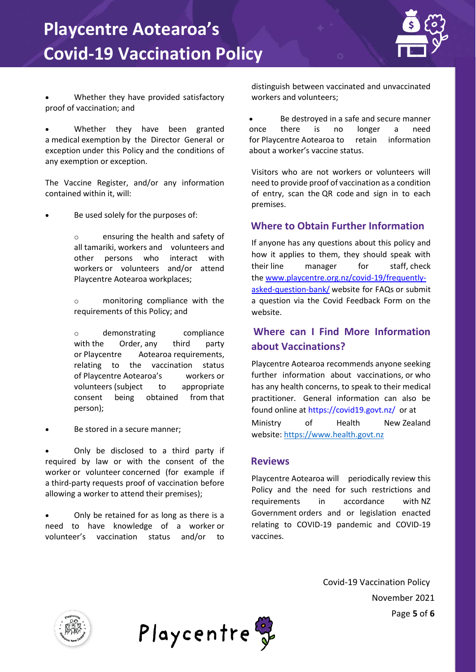

• Whether they have provided satisfactory proof of vaccination; and

Whether they have been granted a medical exemption by the Director General or exception under this Policy and the conditions of any exemption or exception.

The Vaccine Register, and/or any information contained within it, will:

Be used solely for the purposes of:

o ensuring the health and safety of all tamariki, workers and volunteers and other persons who interact with workers or volunteers and/or attend Playcentre Aotearoa workplaces;

o monitoring compliance with the requirements of this Policy; and

o demonstrating compliance with the Order, any third party or Playcentre Aotearoa requirements, relating to the vaccination status of Playcentre Aotearoa's workers or volunteers (subject to appropriate consent being obtained from that person);

Be stored in a secure manner;

• Only be disclosed to a third party if required by law or with the consent of the worker or volunteer concerned (for example if a third-party requests proof of vaccination before allowing a worker to attend their premises);

• Only be retained for as long as there is a need to have knowledge of a worker or volunteer's vaccination status and/or to distinguish between vaccinated and unvaccinated workers and volunteers;

Be destroyed in a safe and secure manner once there is no longer a need for Playcentre Aotearoa to retain information about a worker's vaccine status.

Visitors who are not workers or volunteers will need to provide proof of vaccination as a condition of entry, scan the QR code and sign in to each premises.

### **Where to Obtain Further Information**

If anyone has any questions about this policy and how it applies to them, they should speak with their line manager for staff, check the [www.playcentre.org.nz/covid-19/frequently](http://www.playcentre.org.nz/covid-19/frequently-asked-question-bank/)[asked-question-bank/](http://www.playcentre.org.nz/covid-19/frequently-asked-question-bank/) website for FAQs or submit a question via the Covid Feedback Form on the website.

## **Where can I Find More Information about Vaccinations?**

Playcentre Aotearoa recommends anyone seeking further information about vaccinations, or who has any health concerns, to speak to their medical practitioner. General information can also be found online at <https://covid19.govt.nz/> or at [Ministry of Health New](https://www.health.govt.nz/) Zealand website: [https://www.health.govt.nz](https://www.health.govt.nz/)

#### **Reviews**

Playcentre Aotearoa will periodically review this Policy and the need for such restrictions and requirements in accordance with NZ Government orders and or legislation enacted relating to COVID-19 pandemic and COVID-19 vaccines.

> Covid-19 Vaccination Policy November 2021 Page **5** of **6**